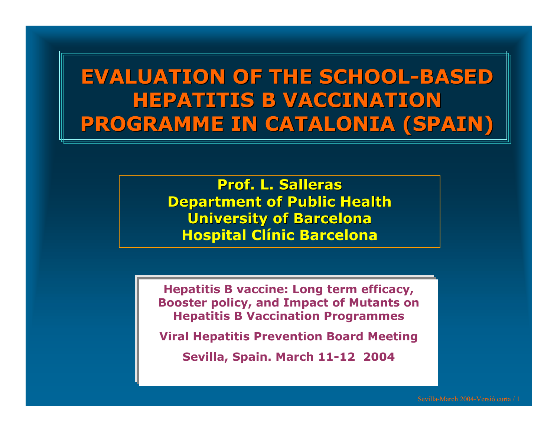**EVALUATION OF THE SCHOOL EVALUATION OF THE SCHOOL-BASED HEPATITIS B VACCINATION PROGRAMME IN CATALONIA (SPAIN) PROGRAMME IN CATALONIA (SPAIN)**

> **Prof. L. Salleras Prof. L. SallerasDepartment Department of Public Health Universit Universit y of Barcelona Barcelona Hospital Clínic Barcelona**

**Hepatitis B vaccine: Long term efficac y, Booster policy, and Impact o f Mutants on Hepatitis B Vaccination Programmes**

**Vir al Hep atitis Prevention Board Meeting**

**Sevilla, Spain. March 11-12 2004**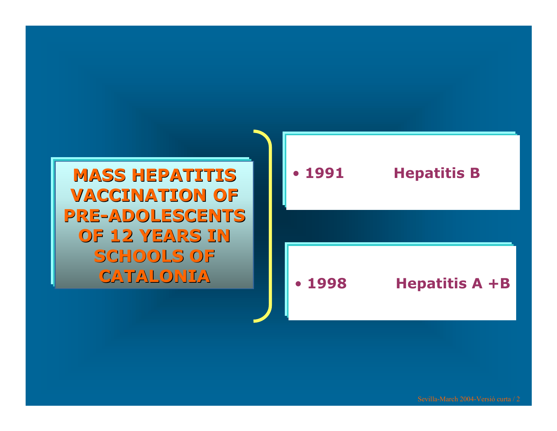**VACCINATION OF** PRE-ADOLESCENTS **OF 12 YEARS IN** SCHOOLS OF **CATALONIA CATALONIA**



Sevilla-March 2004-Versió curta / 2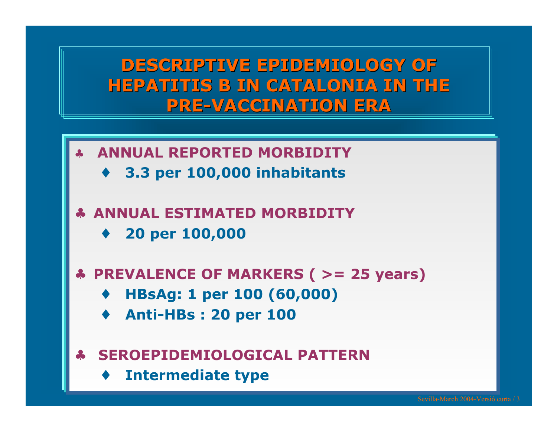**DESCRIPTIVE EPIDEMIOLOGY OF HEPATITIS B IN CATALONIA IN THE PRE -VACCINATION ERA VACCINATION ERA**

- ♣ **ANNUAL REPORTED MORBIDITY**
	- ♦ **3.3 per 100,000 inhabitants**
- ♣ **ANNUAL ESTIMATED MORBIDITY**
	- ♦**20 per 100,000**
- ♣ **PREVALENCE OF MARKERS ( > = 25 years)**
	- ♦ **HBsAg: 1 per 100 (60,000)**
	- ♦ **Anti-HBs : 20 per 100**
- ♣ **SEROEPIDEMIOLOGICAL PATTERN**
	- ♦**Intermediate type**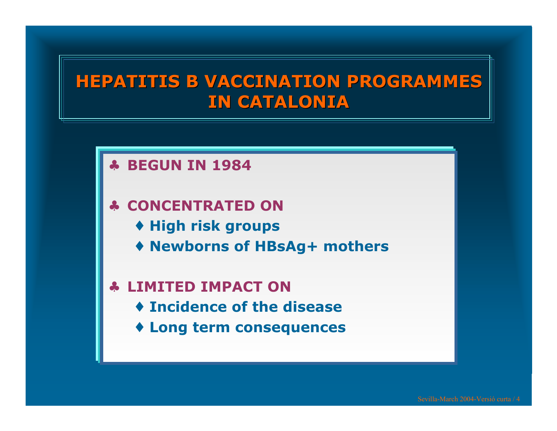#### **HEPATITIS B VACCINATION PROGRAMMES HEPATITIS B VACCINATION PROGRAMMES IN CATALONIA IN CATALONIA**

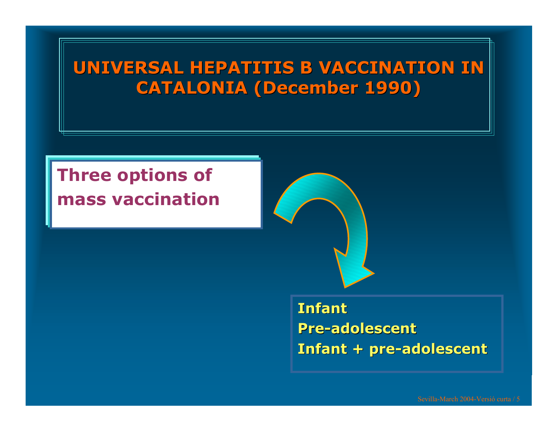## **UNIVERSAL HEPATITIS B VACCINATION IN CATALONIA ( CATALONIA (December December 1990)**

# **Three options of mass vaccination**



#### **InfantPre-adolescent adolescentInfant + pre -adolescent adolescent**

Sevilla-March 2004-Versió curta / 5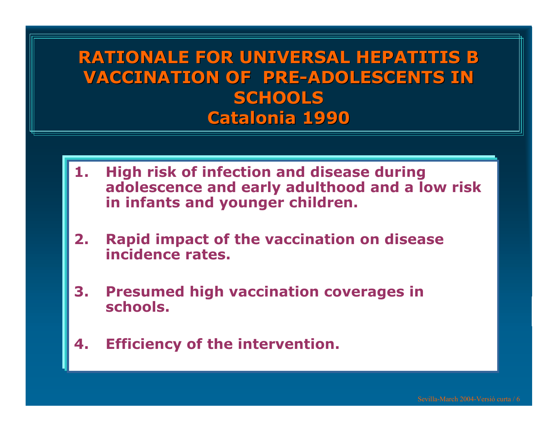## **RATIONALE FOR UNIVERSAL HEPATITIS B VACCINATION OF PRE-ADOLESCENTS IN SCHOOLS SCHOOLSCatalonia Catalonia 1990**

- **1. High risk of infection and disease during adolescence and early adulthood and a low risk in infants and younger children.**
- **2. Rapid impact o f the vaccination o n disease incidencerates.**
- **3. Presumed high vaccination coverages in schools.**
- **4.Efficiency of the intervention.**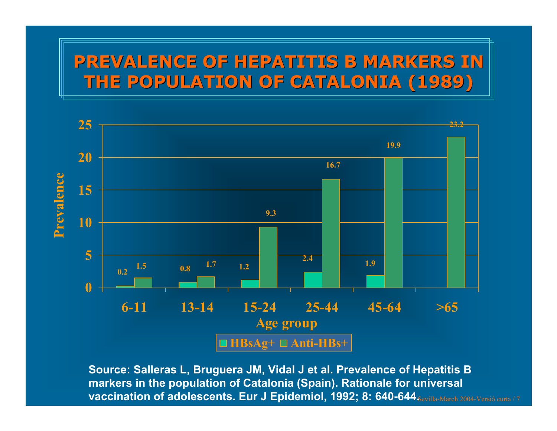## **PREVALENCE OF HEPATITIS B MARKERS IN PREVALENCE OF HEPATITIS B MARKERS IN THE POPULATION OF CATALONIA (1989) THE POPULATION OF CATALONIA (1989)**



**vaccination of adolescents. Eur J Epidemiol, 1992; 8: 640-644** $_{\tt Sevilla-March~2004\text{-}Versió\,eura}$  **/ 7 Source: Salleras L, Bruguera JM, Vidal J et al. Prevalence of Hepatitis B markers in the population of Catalonia (Spain). Rationale for universal**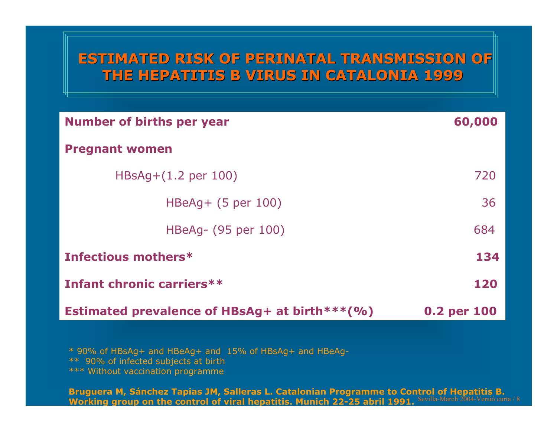#### **ESTIMATED RISK OF PERINATAL TRANSMISSION OF ESTIMATED RISK OF PERINATAL TRANSMISSION OF THE HEPATITIS B VIRUS IN CATALONIA 1999 THE HEPATITIS B VIRUS IN CATALONIA 1999**

| <b>Number of births per year</b>              | 60,000      |  |
|-----------------------------------------------|-------------|--|
| <b>Pregnant women</b>                         |             |  |
| $HBSAq + (1.2 \text{ per } 100)$              | 720         |  |
| $HBeAq + (5 per 100)$                         | 36          |  |
| HBeAg- (95 per 100)                           | 684         |  |
| Infectious mothers*                           | 134         |  |
| Infant chronic carriers**                     | 120         |  |
| Estimated prevalence of HBsAg+ at birth***(%) | 0.2 per 100 |  |

\* 90% of HBsAg + and HBeAg + and 15% of HBsAg+ a nd HBeAg- \*\* 90% of infected subjects at birth \*\*\* Without vaccination programme

Sevilla-March 2004-Versió curta / 8 **Bruguera M, Sánchez Tapias JM, S allerasL. Catalonian Programm eto Control of Hepati tis B.**Working group on the control of viral hepatitis. Munich 22-25 abril 1991. Sevilla-March 2004-Versió cu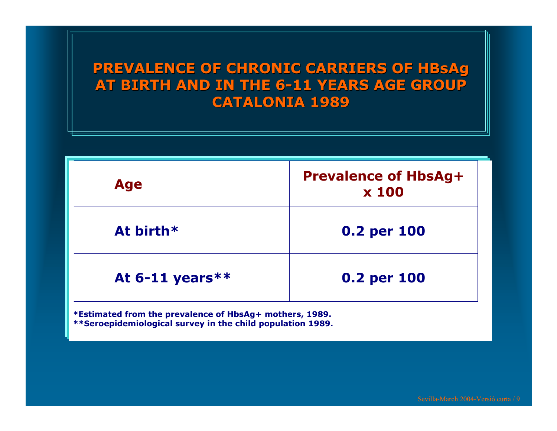#### **PREVALENCE OF CHRONIC CARRIERS OF CHRONIC CARRIERS OF HBsAg AT BIRTH AND IN THE 6 AT BIRTH AND IN THE 6 -11 YEARS AGE GROUP 11 YEARS AGE GROUP CATALONIA 1989 CATALONIA 1989**

| <b>Age</b>        | <b>Prevalence of HbsAg+</b><br><b>x 100</b> |
|-------------------|---------------------------------------------|
| At birth*         | 0.2 per 100                                 |
| At $6-11$ years** | 0.2 per 100                                 |

\*Estimated from the prevalence of HbsAg+ mothers, 1989. **\*\*Sero epidemiological survey in t he child p opula tion 1989.**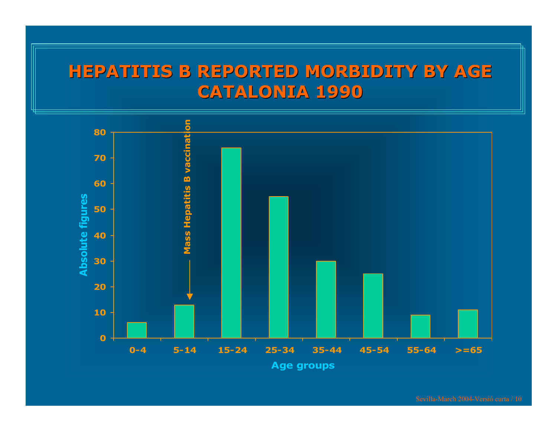#### **HEPATITIS B REPORTED MORBIDITY BY AGE CATALONIA 1990 CATALONIA 1990**



Sevilla-March 2004-Versió curta / 10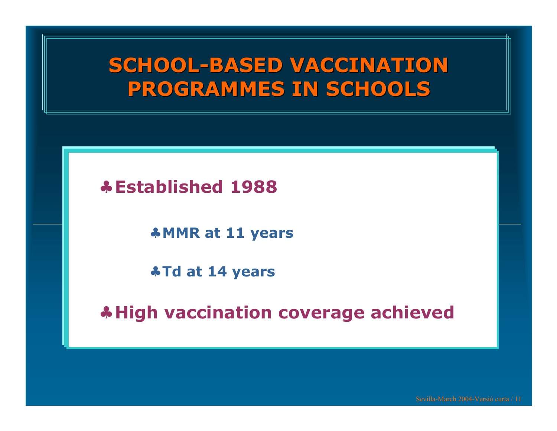# **SCHOOL-BASED VACCINATION PROGRAMMES IN SCHOOLS PROGRAMMES IN SCHOOLS**

#### ♣ **Established 1988**

♣**MMR at 11 years**

♣**Td at 14 years**

♣ **High vaccination coverage achieved**

Sevilla-March 2004-Versió curta / 11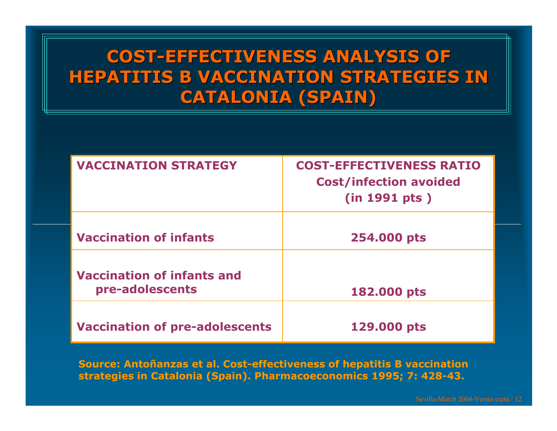## **COST-EFFECTIVENESS ANALYSIS OF EFFECTIVENESS ANALYSIS OF HEPATITIS B VACCINATION STRATEGIES IN CATALONIA (SPAIN) CATALONIA (SPAIN)**

| <b>VACCINATION STRATEGY</b>                          | <b>COST-EFFECTIVENESS RATIO</b><br><b>Cost/infection avoided</b><br>(in 1991 pts) |
|------------------------------------------------------|-----------------------------------------------------------------------------------|
| <b>Vaccination of infants</b>                        | 254.000 pts                                                                       |
| <b>Vaccination of infants and</b><br>pre-adolescents | 182.000 pts                                                                       |
| <b>Vaccination of pre-adolescents</b>                | 129.000 pts                                                                       |

**Source: Antoñanzas et al. Cost-effectiveness of hepatitis B vaccination strategies in Catalonia (Spain). Pharmacoeconomics 1995; 7: 428-43.**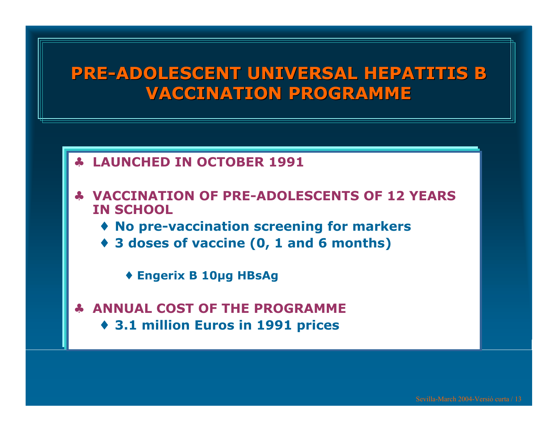#### **PRE-ADOLESCENT UNIVERSAL HEPATITIS B VACCINATION PROGRAMME VACCINATION PROGRAMME**

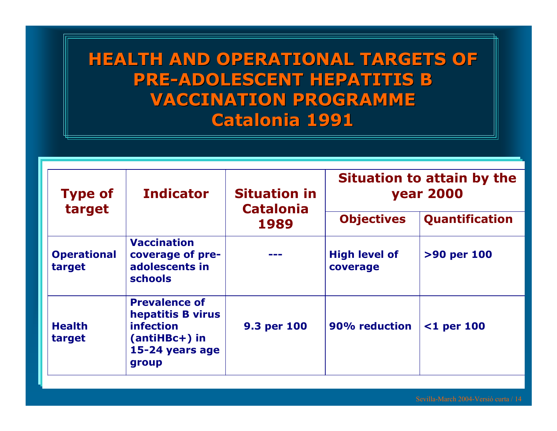## **HEALTH AND OPERATIONAL TARGETS OF PRE -ADOLESCENT HEPATITIS B ADOLESCENT HEPATITIS B VACCINATION PROGRAMME VACCINATION PROGRAMMECatalonia Catalonia 1991**

| <b>Type of</b><br>target     | <b>Indicator</b>                                                                                      | <b>Situation in</b><br><b>Catalonia</b><br>1989 | <b>Situation to attain by the</b><br><b>year 2000</b> |                       |
|------------------------------|-------------------------------------------------------------------------------------------------------|-------------------------------------------------|-------------------------------------------------------|-----------------------|
|                              |                                                                                                       |                                                 | <b>Objectives</b>                                     | <b>Quantification</b> |
| <b>Operational</b><br>target | <b>Vaccination</b><br>coverage of pre-<br>adolescents in<br><b>schools</b>                            |                                                 | <b>High level of</b><br>coverage                      | >90 per 100           |
| <b>Health</b><br>target      | <b>Prevalence of</b><br>hepatitis B virus<br>infection<br>$(antiHBC+)$ in<br>15-24 years age<br>group | 9.3 per 100                                     | 90% reduction                                         | $\leq 1$ per 100      |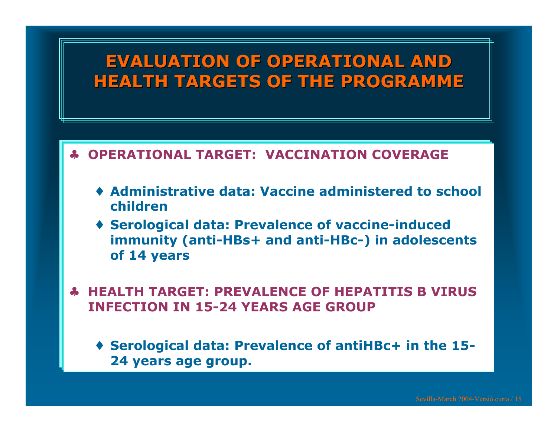#### **EVALUATION OF OPERATIONAL AND HEALTH TARGETS OF THE PROGRAMME HEALTH TARGETS OF THE PROGRAMME**

#### ♣**OPERATIONAL TARGET: VACCINATION COVERAGE**

- ♦ **Administrative data: Vaccine administered to school children**
- ♦ **Serological data: Prevalenc e of vaccine-induced immunity (anti-HBs+ and anti-HBc-) in adolescents of 14 years**
- ♣ **HEALTH TARGET: PREVALENCE OF HEPATITIS B VIRUS INFECTION IN 15-24 YEARS AGE GROUP**
	- ♦ **Serological data: Prevalenc e of antiHBc+ in th e 15- 24 years age group.**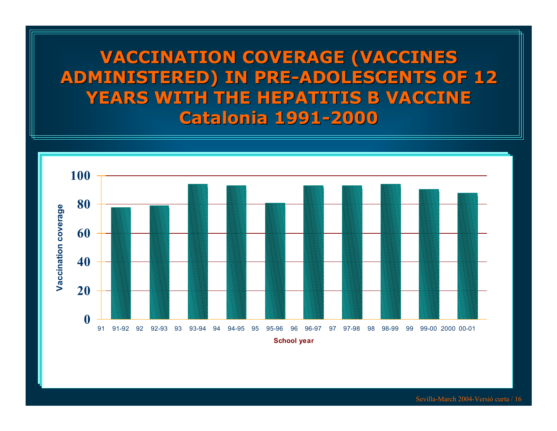#### **VACCINATION COVERAGE (VACCINES VACCINATION COVERAGE (VACCINES ADMINISTERED) IN PRE ADMINISTERED) IN PRE -ADOLESCENTS OF 12 ADOLESCENTS OF 12 YEARS WITH THE HEPATITIS B VACCINE ARS WITH THE HEPATITIS B VACCINECatalonia Catalonia 1991 -2000**

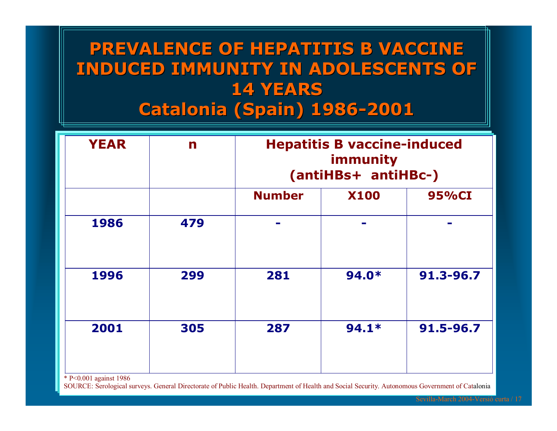## **PREVALENCE OF HEPATITIS B VACCINE PREVALENCE OF HEPATITIS B VACCINE INDUCED IMMUNITY IN ADOLESCENTS OF INDUCED IMMUNITY IN ADOLESCENTS OF 14 YEARS 14 YEARSCatalonia Catalonia (Spain) 1986 -2001**

| <b>YEAR</b> | n   |               | <b>Hepatitis B vaccine-induced</b><br>immunity<br>(antiHBs+ antiHBc-) |           |  |
|-------------|-----|---------------|-----------------------------------------------------------------------|-----------|--|
|             |     | <b>Number</b> | <b>X100</b>                                                           | 95%CI     |  |
| 1986        | 479 |               |                                                                       |           |  |
| 1996        | 299 | 281           | $94.0*$                                                               | 91.3-96.7 |  |
| 2001        | 305 | 287           | $94.1*$                                                               | 91.5-96.7 |  |

\* P<0.001 a gainst 1986

SO U RC E: Serolo gical surveys. General Directorate of P ublic Health. Department of Health an d Social Security. A utonomo us Govern ment of Catalonia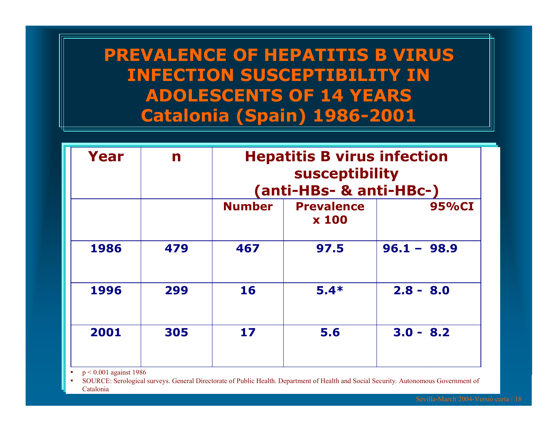## **PREVALENCE OF HEPATITIS B VIRUS INFECTION SUSCEPTIBILITY IN ADOLESCEN TS OF 14 YEARS Catalonia (Spain) 1986-2001**

| n   | <b>Hepatitis B virus infection</b><br><b>susceptibility</b><br>(anti-HBs- & anti-HBc-) |                                   |  |                                             |
|-----|----------------------------------------------------------------------------------------|-----------------------------------|--|---------------------------------------------|
|     | <b>Number</b>                                                                          | <b>Prevalence</b><br><b>x 100</b> |  | 95%CI                                       |
| 479 | 467                                                                                    | 97.5                              |  |                                             |
| 299 | 16                                                                                     | $5.4*$                            |  |                                             |
| 305 | 17                                                                                     | 5.6                               |  |                                             |
|     |                                                                                        |                                   |  | $96.1 - 98.9$<br>$2.8 - 8.0$<br>$3.0 - 8.2$ |

••  $p < 0.001$  against 1986

•• SOURCE: Serological surveys. General Directorate of Public Health. Department of Health and Social Security. Autonomous Government of Catalonia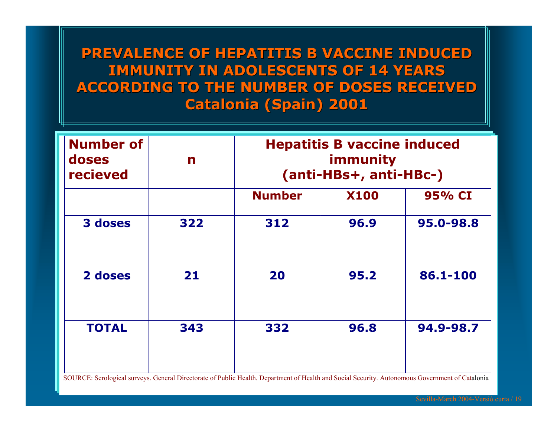#### **PREVALENCE OF HEPATITIS B PREVALENCE OF HEPATITIS B VACCINE INDUCED VACCINE INDUCED IMMUNITY IN ADOLESCENTS OF 14 YEARS ACCORDING TO THE NUMBER OF DOSES RECEIVED ACCORDING TO THE NUMBER OF DOSES RECEIVED Catalonia Catalonia (Spain) 2001**

| <b>Number of</b><br>doses<br>recieved | n   | <b>Hepatitis B vaccine induced</b><br>immunity<br>(anti-HBs+, anti-HBc-) |             |           |
|---------------------------------------|-----|--------------------------------------------------------------------------|-------------|-----------|
|                                       |     | <b>Number</b>                                                            | <b>X100</b> | 95% CI    |
| 3 doses                               | 322 | 312                                                                      | 96.9        | 95.0-98.8 |
| 2 doses                               | 21  | 20                                                                       | 95.2        | 86.1-100  |
| <b>TOTAL</b>                          | 343 | 332                                                                      | 96.8        | 94.9-98.7 |

SOUR C E: Serological surveys. Ge neral Directorate of P ublic Health. Department of Health a n d Social Sec urity. A utonomous Gover n ment of Catalonia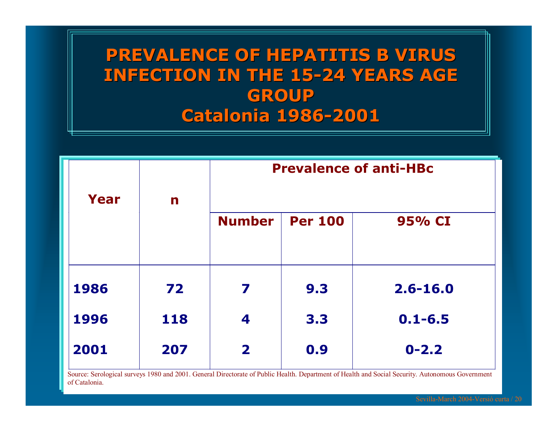## **PREVALENCE OF HEPATITIS B VIRUS PREVALENCE OF HEPATITIS B VIRUS INFECTION IN THE 15 INFECTION IN THE 15-24 YEARS AGE 24 YEARS AGE GROUP Catalonia Catalonia 1986 -2001**

|      |     | <b>Prevalence of anti-HBc</b> |                |              |
|------|-----|-------------------------------|----------------|--------------|
| Year | n   |                               |                |              |
|      |     | <b>Number</b>                 | <b>Per 100</b> | 95% CI       |
|      |     |                               |                |              |
| 1986 | 72  | 7                             | 9.3            | $2.6 - 16.0$ |
| 1996 | 118 | 4                             | 3.3            | $0.1 - 6.5$  |
| 2001 | 207 | $\mathbf{2}$                  | 0.9            | $0 - 2.2$    |
|      |     |                               |                |              |

Source: Serological surveys 1980 and 2001. General Directorate of Public Health. Department of Health and Social Security. Autonomous Government of Catalonia.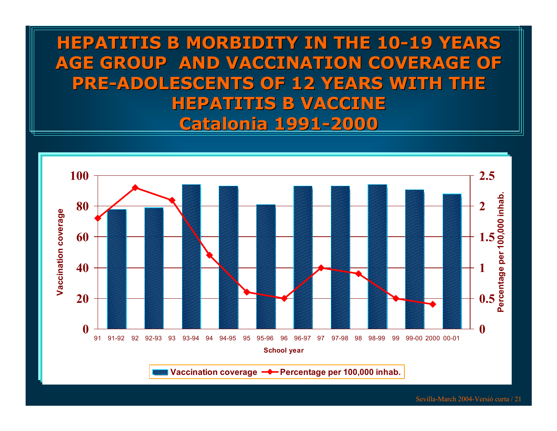#### **HEPATITIS B MORBIDITY IN THE 10-19 YEARS AGE GROUP AND VACCINATION COVERAGE OF AGE GROUP AND VACCINATION COVERAGE OF PRE-ADOLESCENTS OF 12 YEARS WITH THE ADOLESCENTS OF 12 YEARS WITH THE HEPATITIS B VACCINE HEPATITIS B VACCINECatalonia Catalonia 1991 -2000**

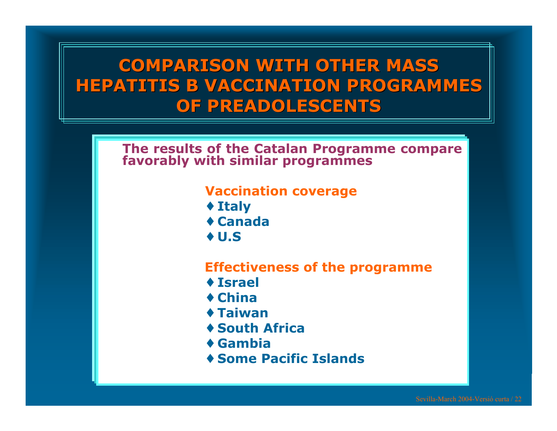## **COMPARISON WITH OTHER MASS COMPARISON WITH OTHER MASS HEPATITIS B VACCINATION PROGRAMMES HEPATITIS B VACCINATION PROGRAMMES OF PREADOLESCEN OF PREADOLESCENT S**

**Th e results of the Catalan P rogramme** I he results of the Catalan Programme compare<br>favorably with similar programmes

#### **Vaccination coverage**

- ♦ **Italy**
- ♦ **Canada**
- ♦ **U.S**

#### **Effectivenessof the programme**

- ♦ **Israel**
- ♦ **China**
- ♦ **Taiwan**
- ♦ **South Africa**
- ♦ **Gambia**
- ♦ **Some Pacific Islands**